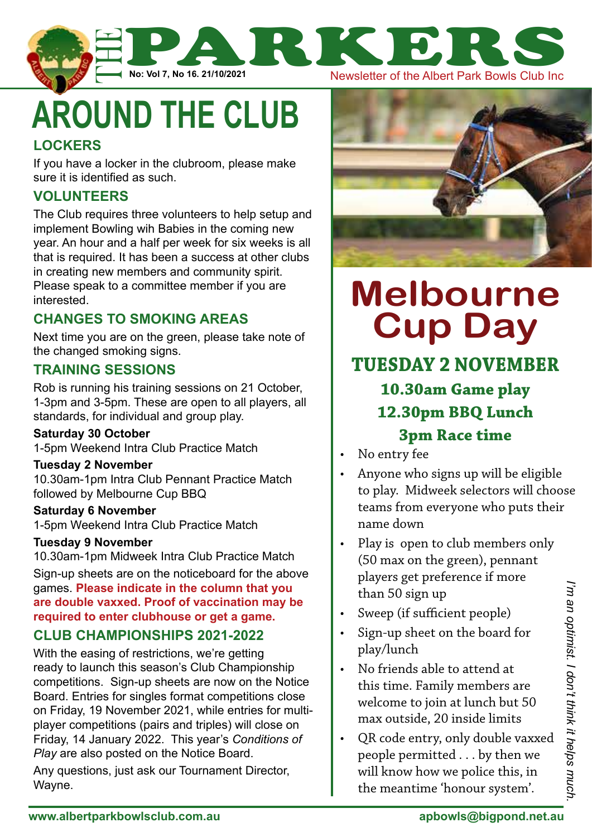

**around the club**

### **Lockers**

If you have a locker in the clubroom, please make sure it is identified as such.

# **Volunteers**

The Club requires three volunteers to help setup and implement Bowling wih Babies in the coming new year. An hour and a half per week for six weeks is all that is required. It has been a success at other clubs in creating new members and community spirit. Please speak to a committee member if you are interested.

## **Changes to smoking areas**

Next time you are on the green, please take note of the changed smoking signs.

#### **training sessions**

Rob is running his training sessions on 21 October, 1-3pm and 3-5pm. These are open to all players, all standards, for individual and group play.

#### **Saturday 30 October**

1-5pm Weekend Intra Club Practice Match

#### **Tuesday 2 November**

10.30am-1pm Intra Club Pennant Practice Match followed by Melbourne Cup BBQ

#### **Saturday 6 November**

1-5pm Weekend Intra Club Practice Match

#### **Tuesday 9 November**

10.30am-1pm Midweek Intra Club Practice Match

Sign-up sheets are on the noticeboard for the above games. **Please indicate in the column that you are double vaxxed. Proof of vaccination may be required to enter clubhouse or get a game.**

#### **Club Championships 2021-2022**

With the easing of restrictions, we're getting ready to launch this season's Club Championship competitions. Sign-up sheets are now on the Notice Board. Entries for singles format competitions close on Friday, 19 November 2021, while entries for multiplayer competitions (pairs and triples) will close on Friday, 14 January 2022. This year's *Conditions of Play* are also posted on the Notice Board.

Any questions, just ask our Tournament Director, Wayne.



# **Melbourne Cup Day**

# **Tuesday 2 November 10.30am Game play 12.30pm BBQ Lunch 3pm Race time**

- No entry fee
- Anyone who signs up will be eligible to play. Midweek selectors will choose teams from everyone who puts their name down
- Play is open to club members only (50 max on the green), pennant players get preference if more than 50 sign up
- Sweep (if sufficient people)
- Sign-up sheet on the board for play/lunch
- No friends able to attend at this time. Family members are welcome to join at lunch but 50 max outside, 20 inside limits
- QR code entry, only double vaxxed people permitted . . . by then we will know how we police this, in the meantime 'honour system'.